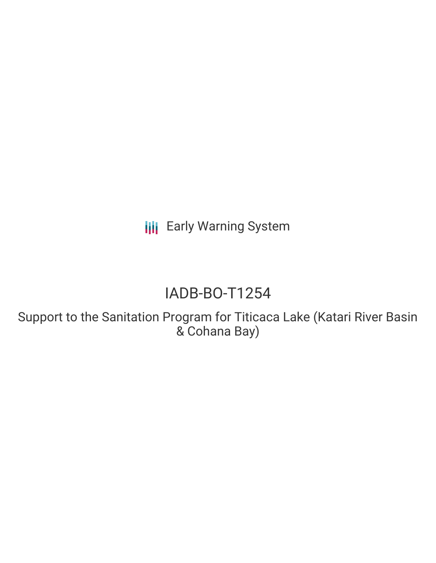**III** Early Warning System

# IADB-BO-T1254

Support to the Sanitation Program for Titicaca Lake (Katari River Basin & Cohana Bay)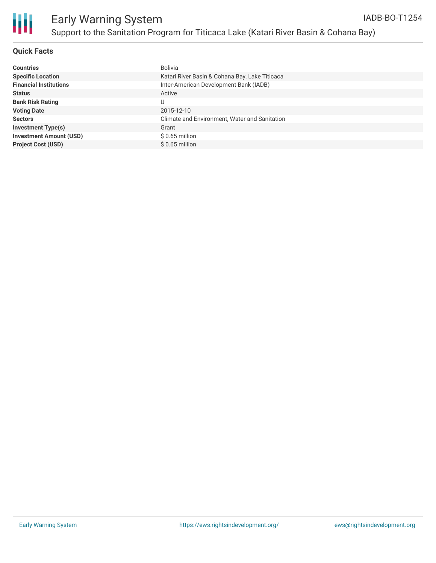

#### **Quick Facts**

| <b>Countries</b>               | Bolivia                                        |
|--------------------------------|------------------------------------------------|
| <b>Specific Location</b>       | Katari River Basin & Cohana Bay, Lake Titicaca |
| <b>Financial Institutions</b>  | Inter-American Development Bank (IADB)         |
| <b>Status</b>                  | Active                                         |
| <b>Bank Risk Rating</b>        |                                                |
| <b>Voting Date</b>             | 2015-12-10                                     |
| <b>Sectors</b>                 | Climate and Environment, Water and Sanitation  |
| <b>Investment Type(s)</b>      | Grant                                          |
| <b>Investment Amount (USD)</b> | $$0.65$ million                                |
| <b>Project Cost (USD)</b>      | $$0.65$ million                                |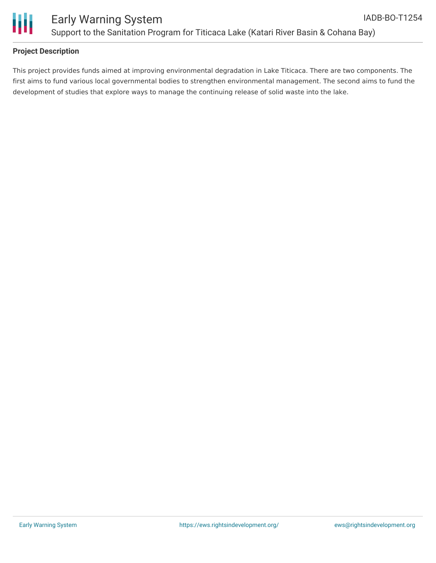

#### **Project Description**

This project provides funds aimed at improving environmental degradation in Lake Titicaca. There are two components. The first aims to fund various local governmental bodies to strengthen environmental management. The second aims to fund the development of studies that explore ways to manage the continuing release of solid waste into the lake.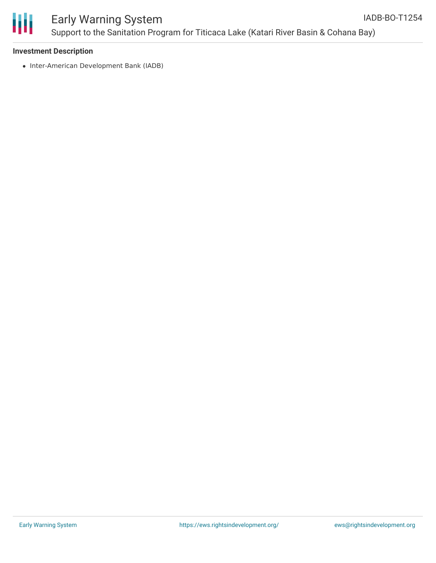

#### **Investment Description**

• Inter-American Development Bank (IADB)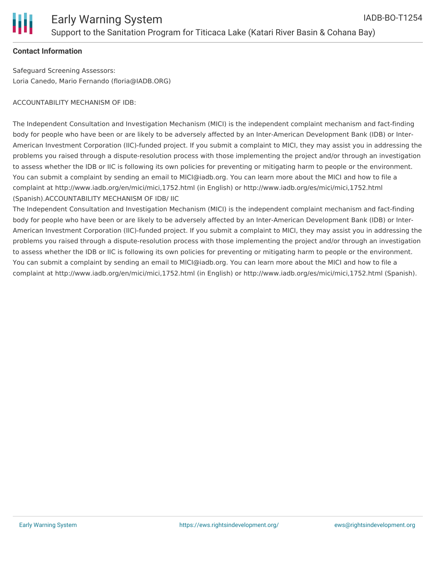

#### **Contact Information**

Safeguard Screening Assessors: Loria Canedo, Mario Fernando (floria@IADB.ORG)

ACCOUNTABILITY MECHANISM OF IDB:

The Independent Consultation and Investigation Mechanism (MICI) is the independent complaint mechanism and fact-finding body for people who have been or are likely to be adversely affected by an Inter-American Development Bank (IDB) or Inter-American Investment Corporation (IIC)-funded project. If you submit a complaint to MICI, they may assist you in addressing the problems you raised through a dispute-resolution process with those implementing the project and/or through an investigation to assess whether the IDB or IIC is following its own policies for preventing or mitigating harm to people or the environment. You can submit a complaint by sending an email to MICI@iadb.org. You can learn more about the MICI and how to file a complaint at http://www.iadb.org/en/mici/mici,1752.html (in English) or http://www.iadb.org/es/mici/mici,1752.html (Spanish).ACCOUNTABILITY MECHANISM OF IDB/ IIC

The Independent Consultation and Investigation Mechanism (MICI) is the independent complaint mechanism and fact-finding body for people who have been or are likely to be adversely affected by an Inter-American Development Bank (IDB) or Inter-American Investment Corporation (IIC)-funded project. If you submit a complaint to MICI, they may assist you in addressing the problems you raised through a dispute-resolution process with those implementing the project and/or through an investigation to assess whether the IDB or IIC is following its own policies for preventing or mitigating harm to people or the environment. You can submit a complaint by sending an email to MICI@iadb.org. You can learn more about the MICI and how to file a complaint at http://www.iadb.org/en/mici/mici,1752.html (in English) or http://www.iadb.org/es/mici/mici,1752.html (Spanish).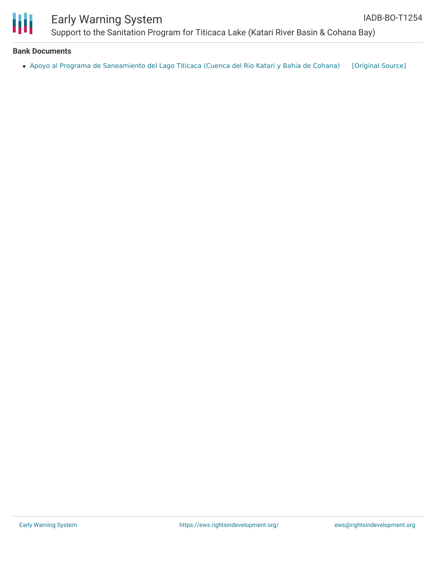

### Early Warning System Support to the Sanitation Program for Titicaca Lake (Katari River Basin & Cohana Bay)

#### **Bank Documents**

• Apoyo al Programa de [Saneamiento](https://ewsdata.rightsindevelopment.org/files/documents/54/IADB-BO-T1254.pdf) del Lago Titicaca (Cuenca del Rio Katari y Bahia de Cohana) [\[Original](http://www.iadb.org/Document.cfm?id=40042638) Source]